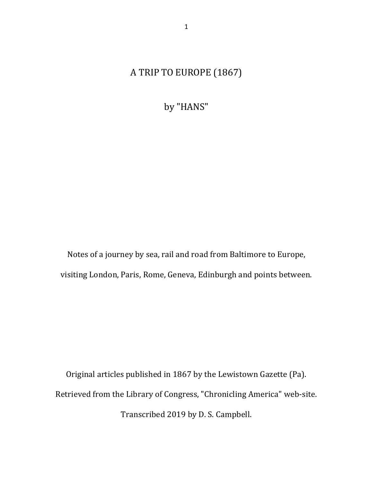# A TRIP TO EUROPE (1867)

by "HANS"

Notes of a journey by sea, rail and road from Baltimore to Europe, visiting London, Paris, Rome, Geneva, Edinburgh and points between.

Original articles published in 1867 by the Lewistown Gazette (Pa). Retrieved from the Library of Congress, "Chronicling America" web-site. Transcribed 2019 by D. S. Campbell.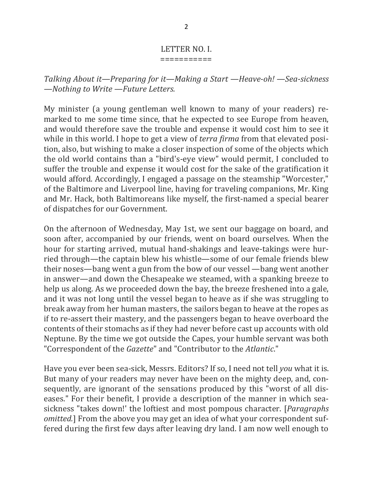#### LETTER NO. I. ===========

Talking About it—Preparing for it—Making a Start —Heave-oh! —Sea-sickness  $-$ *Nothing to Write*  $-$ *Future Letters.* 

My minister (a young gentleman well known to many of your readers) remarked to me some time since, that he expected to see Europe from heaven, and would therefore save the trouble and expense it would cost him to see it while in this world. I hope to get a view of *terra firma* from that elevated position, also, but wishing to make a closer inspection of some of the objects which the old world contains than a "bird's-eye view" would permit, I concluded to suffer the trouble and expense it would cost for the sake of the gratification it would afford. Accordingly, I engaged a passage on the steamship "Worcester," of the Baltimore and Liverpool line, having for traveling companions, Mr. King and Mr. Hack, both Baltimoreans like myself, the first-named a special bearer of dispatches for our Government.

On the afternoon of Wednesday, May 1st, we sent our baggage on board, and soon after, accompanied by our friends, went on board ourselves. When the hour for starting arrived, mutual hand-shakings and leave-takings were hurried through—the captain blew his whistle—some of our female friends blew their noses—bang went a gun from the bow of our vessel —bang went another in answer—and down the Chesapeake we steamed, with a spanking breeze to help us along. As we proceeded down the bay, the breeze freshened into a gale, and it was not long until the vessel began to heave as if she was struggling to break away from her human masters, the sailors began to heave at the ropes as if to re-assert their mastery, and the passengers began to heave overboard the contents of their stomachs as if they had never before cast up accounts with old Neptune. By the time we got outside the Capes, your humble servant was both "Correspondent of the *Gazette*" and "Contributor to the *Atlantic*."

Have you ever been sea-sick, Messrs. Editors? If so, I need not tell *you* what it is. But many of your readers may never have been on the mighty deep, and, consequently, are ignorant of the sensations produced by this "worst of all diseases." For their benefit, I provide a description of the manner in which seasickness "takes down!' the loftiest and most pompous character. [*Paragraphs omitted.*] From the above you may get an idea of what your correspondent suffered during the first few days after leaving dry land. I am now well enough to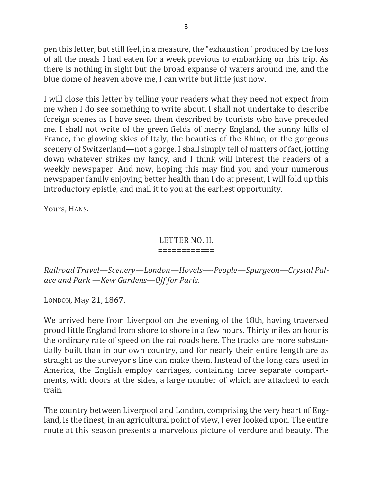pen this letter, but still feel, in a measure, the "exhaustion" produced by the loss of all the meals I had eaten for a week previous to embarking on this trip. As there is nothing in sight but the broad expanse of waters around me, and the blue dome of heaven above me, I can write but little just now.

I will close this letter by telling your readers what they need not expect from me when I do see something to write about. I shall not undertake to describe foreign scenes as I have seen them described by tourists who have preceded me. I shall not write of the green fields of merry England, the sunny hills of France, the glowing skies of Italy, the beauties of the Rhine, or the gorgeous scenery of Switzerland—not a gorge. I shall simply tell of matters of fact, jotting down whatever strikes my fancy, and I think will interest the readers of a weekly newspaper. And now, hoping this may find you and your numerous newspaper family enjoying better health than I do at present, I will fold up this introductory epistle, and mail it to you at the earliest opportunity.

Yours, HANS.

### LETTER NO. II.

#### ============

Railroad Travel—Scenery—London—Hovels—-People—Spurgeon—Crystal Pal*ace and Park —Kew Gardens—Off for Paris.*

LONDON, May 21, 1867.

We arrived here from Liverpool on the evening of the 18th, having traversed proud little England from shore to shore in a few hours. Thirty miles an hour is the ordinary rate of speed on the railroads here. The tracks are more substantially built than in our own country, and for nearly their entire length are as straight as the surveyor's line can make them. Instead of the long cars used in America, the English employ carriages, containing three separate compartments, with doors at the sides, a large number of which are attached to each train.

The country between Liverpool and London, comprising the very heart of England, is the finest, in an agricultural point of view, I ever looked upon. The entire route at this season presents a marvelous picture of verdure and beauty. The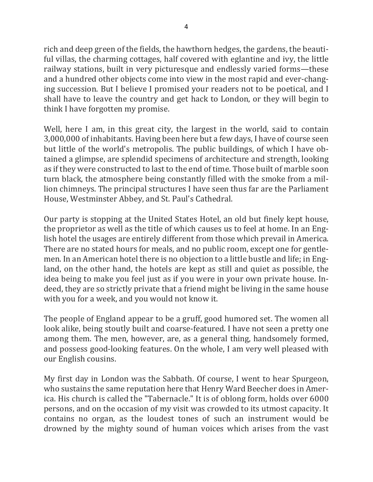rich and deep green of the fields, the hawthorn hedges, the gardens, the beautiful villas, the charming cottages, half covered with eglantine and ivy, the little railway stations, built in very picturesque and endlessly varied forms—these and a hundred other objects come into view in the most rapid and ever-changing succession. But I believe I promised your readers not to be poetical, and I shall have to leave the country and get hack to London, or they will begin to think I have forgotten my promise.

Well, here I am, in this great city, the largest in the world, said to contain 3,000,000 of inhabitants. Having been here but a few days, I have of course seen but little of the world's metropolis. The public buildings, of which I have obtained a glimpse, are splendid specimens of architecture and strength, looking as if they were constructed to last to the end of time. Those built of marble soon turn black, the atmosphere being constantly filled with the smoke from a million chimneys. The principal structures I have seen thus far are the Parliament House, Westminster Abbey, and St. Paul's Cathedral.

Our party is stopping at the United States Hotel, an old but finely kept house, the proprietor as well as the title of which causes us to feel at home. In an English hotel the usages are entirely different from those which prevail in America. There are no stated hours for meals, and no public room, except one for gentlemen. In an American hotel there is no objection to a little bustle and life; in England, on the other hand, the hotels are kept as still and quiet as possible, the idea being to make you feel just as if you were in your own private house. Indeed, they are so strictly private that a friend might be living in the same house with you for a week, and you would not know it.

The people of England appear to be a gruff, good humored set. The women all look alike, being stoutly built and coarse-featured. I have not seen a pretty one among them. The men, however, are, as a general thing, handsomely formed, and possess good-looking features. On the whole, I am very well pleased with our English cousins.

My first day in London was the Sabbath. Of course, I went to hear Spurgeon, who sustains the same reputation here that Henry Ward Beecher does in America. His church is called the "Tabernacle." It is of oblong form, holds over 6000 persons, and on the occasion of my visit was crowded to its utmost capacity. It contains no organ, as the loudest tones of such an instrument would be drowned by the mighty sound of human voices which arises from the vast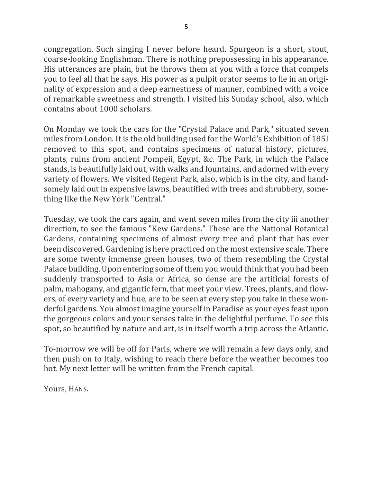5

congregation. Such singing I never before heard. Spurgeon is a short, stout, coarse-looking Englishman. There is nothing prepossessing in his appearance. His utterances are plain, but he throws them at you with a force that compels you to feel all that he says. His power as a pulpit orator seems to lie in an originality of expression and a deep earnestness of manner, combined with a voice of remarkable sweetness and strength. I visited his Sunday school, also, which contains about 1000 scholars.

On Monday we took the cars for the "Crystal Palace and Park," situated seven miles from London. It is the old building used for the World's Exhibition of 185I removed to this spot, and contains specimens of natural history, pictures, plants, ruins from ancient Pompeii, Egypt, &c. The Park, in which the Palace stands, is beautifully laid out, with walks and fountains, and adorned with every variety of flowers. We visited Regent Park, also, which is in the city, and handsomely laid out in expensive lawns, beautified with trees and shrubbery, something like the New York "Central."

Tuesday, we took the cars again, and went seven miles from the city iii another direction, to see the famous "Kew Gardens." These are the National Botanical Gardens, containing specimens of almost every tree and plant that has ever been discovered. Gardening is here practiced on the most extensive scale. There are some twenty immense green houses, two of them resembling the Crystal Palace building. Upon entering some of them you would think that you had been suddenly transported to Asia or Africa, so dense are the artificial forests of palm, mahogany, and gigantic fern, that meet your view. Trees, plants, and flowers, of every variety and hue, are to be seen at every step you take in these wonderful gardens. You almost imagine yourself in Paradise as your eyes feast upon the gorgeous colors and your senses take in the delightful perfume. To see this spot, so beautified by nature and art, is in itself worth a trip across the Atlantic.

To-morrow we will be off for Paris, where we will remain a few days only, and then push on to Italy, wishing to reach there before the weather becomes too hot. My next letter will be written from the French capital.

Yours, HANS.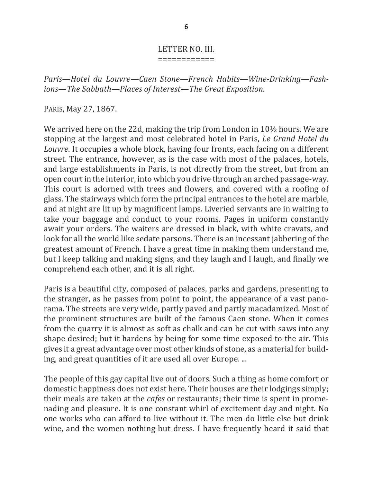#### LETTER NO. III. ============

Paris—Hotel du Louvre—Caen Stone—French Habits—Wine-Drinking—Fashions—The Sabbath—Places of Interest—The Great Exposition.

PARIS, May 27, 1867.

We arrived here on the 22d, making the trip from London in  $10\frac{1}{2}$  hours. We are stopping at the largest and most celebrated hotel in Paris, *Le Grand Hotel du Louvre*. It occupies a whole block, having four fronts, each facing on a different street. The entrance, however, as is the case with most of the palaces, hotels, and large establishments in Paris, is not directly from the street, but from an open court in the interior, into which you drive through an arched passage-way. This court is adorned with trees and flowers, and covered with a roofing of glass. The stairways which form the principal entrances to the hotel are marble, and at night are lit up by magnificent lamps. Liveried servants are in waiting to take your baggage and conduct to your rooms. Pages in uniform constantly await your orders. The waiters are dressed in black, with white cravats, and look for all the world like sedate parsons. There is an incessant jabbering of the greatest amount of French. I have a great time in making them understand me, but I keep talking and making signs, and they laugh and I laugh, and finally we comprehend each other, and it is all right.

Paris is a beautiful city, composed of palaces, parks and gardens, presenting to the stranger, as he passes from point to point, the appearance of a vast panorama. The streets are very wide, partly paved and partly macadamized. Most of the prominent structures are built of the famous Caen stone. When it comes from the quarry it is almost as soft as chalk and can be cut with saws into any shape desired; but it hardens by being for some time exposed to the air. This gives it a great advantage over most other kinds of stone, as a material for building, and great quantities of it are used all over Europe. ...

The people of this gay capital live out of doors. Such a thing as home comfort or domestic happiness does not exist here. Their houses are their lodgings simply; their meals are taken at the *cafes* or restaurants; their time is spent in promenading and pleasure. It is one constant whirl of excitement day and night. No one works who can afford to live without it. The men do little else but drink wine, and the women nothing but dress. I have frequently heard it said that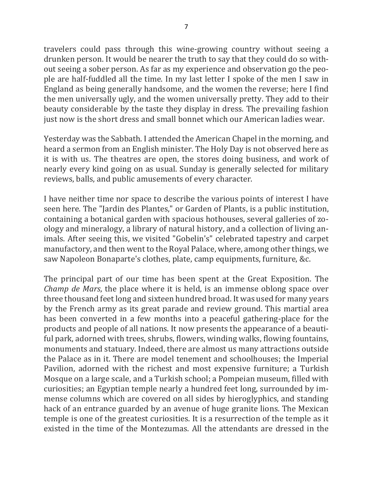travelers could pass through this wine-growing country without seeing a drunken person. It would be nearer the truth to say that they could do so without seeing a sober person. As far as my experience and observation go the people are half-fuddled all the time. In my last letter I spoke of the men I saw in England as being generally handsome, and the women the reverse; here I find the men universally ugly, and the women universally pretty. They add to their beauty considerable by the taste they display in dress. The prevailing fashion just now is the short dress and small bonnet which our American ladies wear.

Yesterday was the Sabbath. I attended the American Chapel in the morning, and heard a sermon from an English minister. The Holy Day is not observed here as it is with us. The theatres are open, the stores doing business, and work of nearly every kind going on as usual. Sunday is generally selected for military reviews, balls, and public amusements of every character.

I have neither time nor space to describe the various points of interest I have seen here. The "Jardin des Plantes," or Garden of Plants, is a public institution, containing a botanical garden with spacious hothouses, several galleries of zoology and mineralogy, a library of natural history, and a collection of living animals. After seeing this, we visited "Gobelin's" celebrated tapestry and carpet manufactory, and then went to the Royal Palace, where, among other things, we saw Napoleon Bonaparte's clothes, plate, camp equipments, furniture, &c.

The principal part of our time has been spent at the Great Exposition. The *Champ* de *Mars*, the place where it is held, is an immense oblong space over three thousand feet long and sixteen hundred broad. It was used for many years by the French army as its great parade and review ground. This martial area has been converted in a few months into a peaceful gathering-place for the products and people of all nations. It now presents the appearance of a beautiful park, adorned with trees, shrubs, flowers, winding walks, flowing fountains, monuments and statuary. Indeed, there are almost us many attractions outside the Palace as in it. There are model tenement and schoolhouses; the Imperial Pavilion, adorned with the richest and most expensive furniture; a Turkish Mosque on a large scale, and a Turkish school; a Pompeian museum, filled with curiosities; an Egyptian temple nearly a hundred feet long, surrounded by immense columns which are covered on all sides by hieroglyphics, and standing hack of an entrance guarded by an avenue of huge granite lions. The Mexican temple is one of the greatest curiosities. It is a resurrection of the temple as it existed in the time of the Montezumas. All the attendants are dressed in the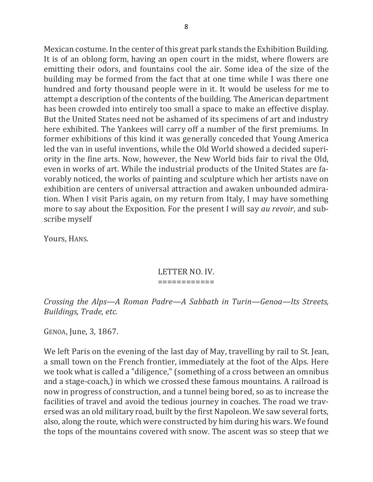Mexican costume. In the center of this great park stands the Exhibition Building. It is of an oblong form, having an open court in the midst, where flowers are emitting their odors, and fountains cool the air. Some idea of the size of the building may be formed from the fact that at one time while I was there one hundred and forty thousand people were in it. It would be useless for me to attempt a description of the contents of the building. The American department has been crowded into entirely too small a space to make an effective display. But the United States need not be ashamed of its specimens of art and industry here exhibited. The Yankees will carry off a number of the first premiums. In former exhibitions of this kind it was generally conceded that Young America led the van in useful inventions, while the Old World showed a decided superiority in the fine arts. Now, however, the New World bids fair to rival the Old, even in works of art. While the industrial products of the United States are favorably noticed, the works of painting and sculpture which her artists nave on exhibition are centers of universal attraction and awaken unbounded admiration. When I visit Paris again, on my return from Italy, I may have something more to say about the Exposition. For the present I will say *au revoir*, and subscribe myself

Yours, HANS.

#### LETTER NO. IV. ============

*Crossing the Alps—A Roman Padre—A Sabbath in Turin—Genoa—lts Streets, Buildings, Trade, etc.*

GENOA, June, 3, 1867.

We left Paris on the evening of the last day of May, travelling by rail to St. Jean, a small town on the French frontier, immediately at the foot of the Alps. Here we took what is called a "diligence," (something of a cross between an omnibus and a stage-coach,) in which we crossed these famous mountains. A railroad is now in progress of construction, and a tunnel being bored, so as to increase the facilities of travel and avoid the tedious journey in coaches. The road we traversed was an old military road, built by the first Napoleon. We saw several forts, also, along the route, which were constructed by him during his wars. We found the tops of the mountains covered with snow. The ascent was so steep that we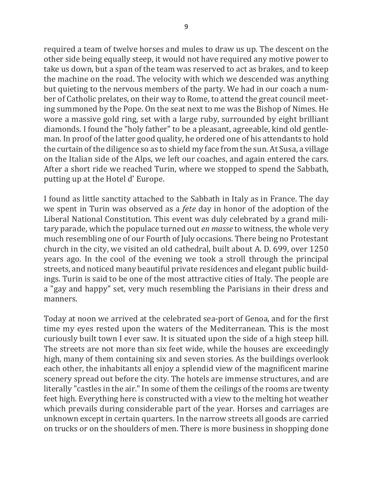required a team of twelve horses and mules to draw us up. The descent on the other side being equally steep, it would not have required any motive power to take us down, but a span of the team was reserved to act as brakes, and to keep the machine on the road. The velocity with which we descended was anything but quieting to the nervous members of the party. We had in our coach a number of Catholic prelates, on their way to Rome, to attend the great council meeting summoned by the Pope. On the seat next to me was the Bishop of Nimes. He wore a massive gold ring, set with a large ruby, surrounded by eight brilliant diamonds. I found the "holy father" to be a pleasant, agreeable, kind old gentleman. In proof of the latter good quality, he ordered one of his attendants to hold the curtain of the diligence so as to shield my face from the sun. At Susa, a village on the Italian side of the Alps, we left our coaches, and again entered the cars. After a short ride we reached Turin, where we stopped to spend the Sabbath, putting up at the Hotel d' Europe.

I found as little sanctity attached to the Sabbath in Italy as in France. The day we spent in Turin was observed as a *fete* day in honor of the adoption of the Liberal National Constitution. This event was duly celebrated by a grand military parade, which the populace turned out *en masse* to witness, the whole very much resembling one of our Fourth of July occasions. There being no Protestant church in the city, we visited an old cathedral, built about A. D. 699, over 1250 years ago. In the cool of the evening we took a stroll through the principal streets, and noticed many beautiful private residences and elegant public buildings. Turin is said to be one of the most attractive cities of Italy. The people are a "gay and happy" set, very much resembling the Parisians in their dress and manners.

Today at noon we arrived at the celebrated sea-port of Genoa, and for the first time my eyes rested upon the waters of the Mediterranean. This is the most curiously built town I ever saw. It is situated upon the side of a high steep hill. The streets are not more than six feet wide, while the houses are exceedingly high, many of them containing six and seven stories. As the buildings overlook each other, the inhabitants all enjoy a splendid view of the magnificent marine scenery spread out before the city. The hotels are immense structures, and are literally "castles in the air." In some of them the ceilings of the rooms are twenty feet high. Everything here is constructed with a view to the melting hot weather which prevails during considerable part of the year. Horses and carriages are unknown except in certain quarters. In the narrow streets all goods are carried on trucks or on the shoulders of men. There is more business in shopping done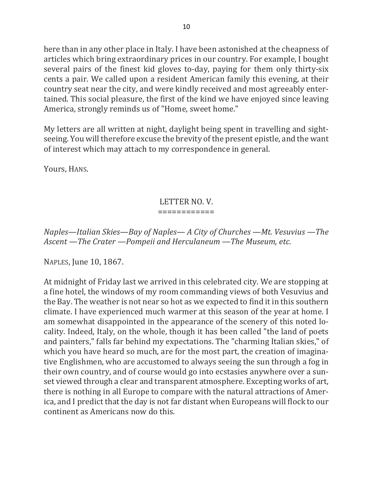here than in any other place in Italy. I have been astonished at the cheapness of articles which bring extraordinary prices in our country. For example, I bought several pairs of the finest kid gloves to-day, paying for them only thirty-six cents a pair. We called upon a resident American family this evening, at their country seat near the city, and were kindly received and most agreeably entertained. This social pleasure, the first of the kind we have enjoyed since leaving America, strongly reminds us of "Home, sweet home."

My letters are all written at night, daylight being spent in travelling and sightseeing. You will therefore excuse the brevity of the present epistle, and the want of interest which may attach to my correspondence in general.

Yours, HANS.

# LETTER NO. V.

### ============

*Naples—Italian Skies—Bay of Naples—A City of Churches —Mt. Vesuvius —The* Ascent —The Crater —Pompeii and Herculaneum —The Museum, etc.

NAPLES, June 10, 1867.

At midnight of Friday last we arrived in this celebrated city. We are stopping at a fine hotel, the windows of my room commanding views of both Vesuvius and the Bay. The weather is not near so hot as we expected to find it in this southern climate. I have experienced much warmer at this season of the year at home. I am somewhat disappointed in the appearance of the scenery of this noted locality. Indeed, Italy, on the whole, though it has been called "the land of poets and painters," falls far behind my expectations. The "charming Italian skies," of which you have heard so much, are for the most part, the creation of imaginative Englishmen, who are accustomed to always seeing the sun through a fog in their own country, and of course would go into ecstasies anywhere over a sunset viewed through a clear and transparent atmosphere. Excepting works of art, there is nothing in all Europe to compare with the natural attractions of America, and I predict that the day is not far distant when Europeans will flock to our continent as Americans now do this.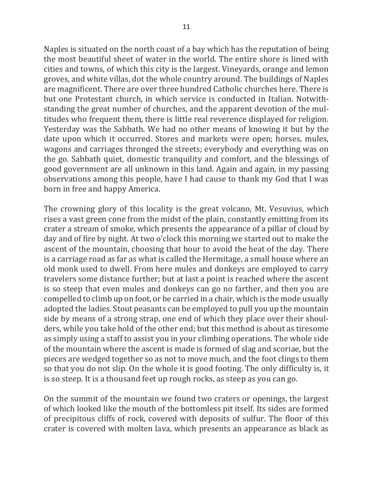Naples is situated on the north coast of a bay which has the reputation of being the most beautiful sheet of water in the world. The entire shore is lined with cities and towns, of which this city is the largest. Vineyards, orange and lemon groves, and white villas, dot the whole country around. The buildings of Naples are magnificent. There are over three hundred Catholic churches here. There is but one Protestant church, in which service is conducted in Italian. Notwithstanding the great number of churches, and the apparent devotion of the multitudes who frequent them, there is little real reverence displayed for religion. Yesterday was the Sabbath. We had no other means of knowing it but by the date upon which it occurred. Stores and markets were open; horses, mules, wagons and carriages thronged the streets; everybody and everything was on the go. Sabbath quiet, domestic tranquility and comfort, and the blessings of good government are all unknown in this land. Again and again, in my passing observations among this people, have I had cause to thank my God that I was born in free and happy America.

The crowning glory of this locality is the great volcano, Mt. Vesuvius, which rises a vast green cone from the midst of the plain, constantly emitting from its crater a stream of smoke, which presents the appearance of a pillar of cloud by day and of fire by night. At two o'clock this morning we started out to make the ascent of the mountain, choosing that hour to avoid the heat of the day. There is a carriage road as far as what is called the Hermitage, a small house where an old monk used to dwell. From here mules and donkeys are employed to carry travelers some distance further; but at last a point is reached where the ascent is so steep that even mules and donkeys can go no farther, and then you are compelled to climb up on foot, or be carried in a chair, which is the mode usually adopted the ladies. Stout peasants can be employed to pull you up the mountain side by means of a strong strap, one end of which they place over their shoulders, while you take hold of the other end; but this method is about as tiresome as simply using a staff to assist you in your climbing operations. The whole side of the mountain where the ascent is made is formed of slag and scoriae, but the pieces are wedged together so as not to move much, and the foot clings to them so that you do not slip. On the whole it is good footing. The only difficulty is, it is so steep. It is a thousand feet up rough rocks, as steep as you can go.

On the summit of the mountain we found two craters or openings, the largest of which looked like the mouth of the bottomless pit itself. Its sides are formed of precipitous cliffs of rock, covered with deposits of sulfur. The floor of this crater is covered with molten lava, which presents an appearance as black as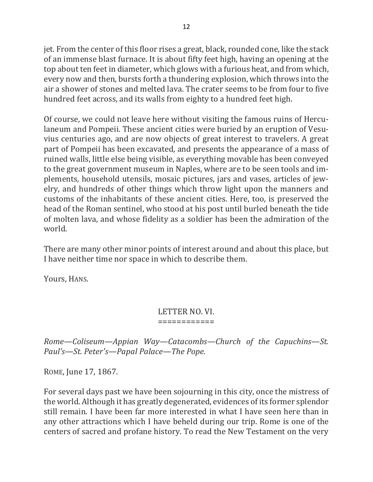jet. From the center of this floor rises a great, black, rounded cone, like the stack of an immense blast furnace. It is about fifty feet high, having an opening at the top about ten feet in diameter, which glows with a furious heat, and from which, every now and then, bursts forth a thundering explosion, which throws into the air a shower of stones and melted lava. The crater seems to be from four to five hundred feet across, and its walls from eighty to a hundred feet high.

Of course, we could not leave here without visiting the famous ruins of Herculaneum and Pompeii. These ancient cities were buried by an eruption of Vesuvius centuries ago, and are now objects of great interest to travelers. A great part of Pompeii has been excavated, and presents the appearance of a mass of ruined walls, little else being visible, as everything movable has been conveyed to the great government museum in Naples, where are to be seen tools and implements, household utensils, mosaic pictures, jars and vases, articles of jewelry, and hundreds of other things which throw light upon the manners and customs of the inhabitants of these ancient cities. Here, too, is preserved the head of the Roman sentinel, who stood at his post until burled beneath the tide of molten lava, and whose fidelity as a soldier has been the admiration of the world.

There are many other minor points of interest around and about this place, but I have neither time nor space in which to describe them.

Yours, HANS.

#### LETTER NO. VI. ============

*Rome—Coliseum—Appian Way—Catacombs—Church of the Capuchins—St.* Paul's—St. Peter's—Papal Palace—The Pope.

ROME, June 17, 1867.

For several days past we have been sojourning in this city, once the mistress of the world. Although it has greatly degenerated, evidences of its former splendor still remain. I have been far more interested in what I have seen here than in any other attractions which I have beheld during our trip. Rome is one of the centers of sacred and profane history. To read the New Testament on the very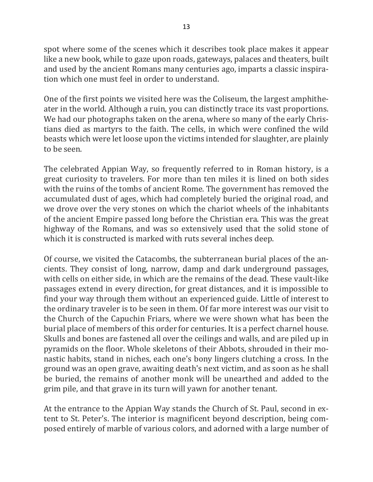spot where some of the scenes which it describes took place makes it appear like a new book, while to gaze upon roads, gateways, palaces and theaters, built and used by the ancient Romans many centuries ago, imparts a classic inspiration which one must feel in order to understand.

One of the first points we visited here was the Coliseum, the largest amphitheater in the world. Although a ruin, you can distinctly trace its vast proportions. We had our photographs taken on the arena, where so many of the early Christians died as martyrs to the faith. The cells, in which were confined the wild beasts which were let loose upon the victims intended for slaughter, are plainly to be seen.

The celebrated Appian Way, so frequently referred to in Roman history, is a great curiosity to travelers. For more than ten miles it is lined on both sides with the ruins of the tombs of ancient Rome. The government has removed the accumulated dust of ages, which had completely buried the original road, and we drove over the very stones on which the chariot wheels of the inhabitants of the ancient Empire passed long before the Christian era. This was the great highway of the Romans, and was so extensively used that the solid stone of which it is constructed is marked with ruts several inches deep.

Of course, we visited the Catacombs, the subterranean burial places of the ancients. They consist of long, narrow, damp and dark underground passages, with cells on either side, in which are the remains of the dead. These vault-like passages extend in every direction, for great distances, and it is impossible to find your way through them without an experienced guide. Little of interest to the ordinary traveler is to be seen in them. Of far more interest was our visit to the Church of the Capuchin Friars, where we were shown what has been the burial place of members of this order for centuries. It is a perfect charnel house. Skulls and bones are fastened all over the ceilings and walls, and are piled up in pyramids on the floor. Whole skeletons of their Abbots, shrouded in their monastic habits, stand in niches, each one's bony lingers clutching a cross. In the ground was an open grave, awaiting death's next victim, and as soon as he shall be buried, the remains of another monk will be unearthed and added to the grim pile, and that grave in its turn will yawn for another tenant.

At the entrance to the Appian Way stands the Church of St. Paul, second in extent to St. Peter's. The interior is magnificent beyond description, being composed entirely of marble of various colors, and adorned with a large number of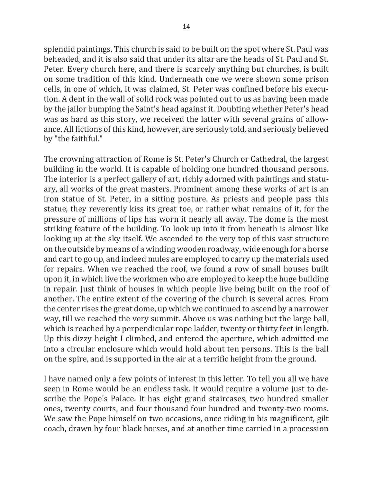splendid paintings. This church is said to be built on the spot where St. Paul was beheaded, and it is also said that under its altar are the heads of St. Paul and St. Peter. Every church here, and there is scarcely anything but churches, is built on some tradition of this kind. Underneath one we were shown some prison cells, in one of which, it was claimed, St. Peter was confined before his execution. A dent in the wall of solid rock was pointed out to us as having been made by the jailor bumping the Saint's head against it. Doubting whether Peter's head was as hard as this story, we received the latter with several grains of allowance. All fictions of this kind, however, are seriously told, and seriously believed by "the faithful."

The crowning attraction of Rome is St. Peter's Church or Cathedral, the largest building in the world. It is capable of holding one hundred thousand persons. The interior is a perfect gallery of art, richly adorned with paintings and statuary, all works of the great masters. Prominent among these works of art is an iron statue of St. Peter, in a sitting posture. As priests and people pass this statue, they reverently kiss its great toe, or rather what remains of it, for the pressure of millions of lips has worn it nearly all away. The dome is the most striking feature of the building. To look up into it from beneath is almost like looking up at the sky itself. We ascended to the very top of this vast structure on the outside by means of a winding wooden roadway, wide enough for a horse and cart to go up, and indeed mules are employed to carry up the materials used for repairs. When we reached the roof, we found a row of small houses built upon it, in which live the workmen who are employed to keep the huge building in repair. Just think of houses in which people live being built on the roof of another. The entire extent of the covering of the church is several acres. From the center rises the great dome, up which we continued to ascend by a narrower way, till we reached the very summit. Above us was nothing but the large ball, which is reached by a perpendicular rope ladder, twenty or thirty feet in length. Up this dizzy height I climbed, and entered the aperture, which admitted me into a circular enclosure which would hold about ten persons. This is the ball on the spire, and is supported in the air at a terrific height from the ground.

I have named only a few points of interest in this letter. To tell you all we have seen in Rome would be an endless task. It would require a volume just to describe the Pope's Palace. It has eight grand staircases, two hundred smaller ones, twenty courts, and four thousand four hundred and twenty-two rooms. We saw the Pope himself on two occasions, once riding in his magnificent, gilt coach, drawn by four black horses, and at another time carried in a procession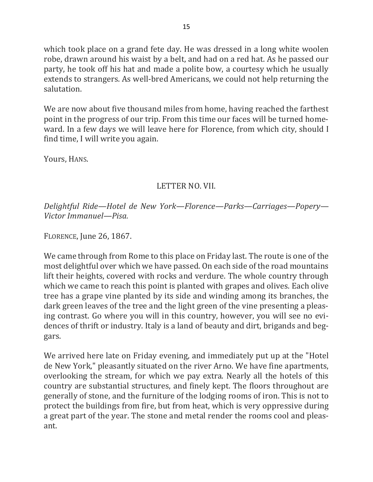which took place on a grand fete day. He was dressed in a long white woolen robe, drawn around his waist by a belt, and had on a red hat. As he passed our party, he took off his hat and made a polite bow, a courtesy which he usually extends to strangers. As well-bred Americans, we could not help returning the salutation.

We are now about five thousand miles from home, having reached the farthest point in the progress of our trip. From this time our faces will be turned homeward. In a few days we will leave here for Florence, from which city, should I find time, I will write you again.

Yours, HANS.

## LETTER NO. VII.

*Delightful Ride—Hotel de New York—Florence—Parks—Carriages—Popery— Victor Immanuel—Pisa.*

FLORENCE, June 26, 1867.

We came through from Rome to this place on Friday last. The route is one of the most delightful over which we have passed. On each side of the road mountains lift their heights, covered with rocks and verdure. The whole country through which we came to reach this point is planted with grapes and olives. Each olive tree has a grape vine planted by its side and winding among its branches, the dark green leaves of the tree and the light green of the vine presenting a pleasing contrast. Go where you will in this country, however, you will see no evidences of thrift or industry. Italy is a land of beauty and dirt, brigands and beggars.

We arrived here late on Friday evening, and immediately put up at the "Hotel" de New York," pleasantly situated on the river Arno. We have fine apartments, overlooking the stream, for which we pay extra. Nearly all the hotels of this country are substantial structures, and finely kept. The floors throughout are generally of stone, and the furniture of the lodging rooms of iron. This is not to protect the buildings from fire, but from heat, which is very oppressive during a great part of the year. The stone and metal render the rooms cool and pleasant.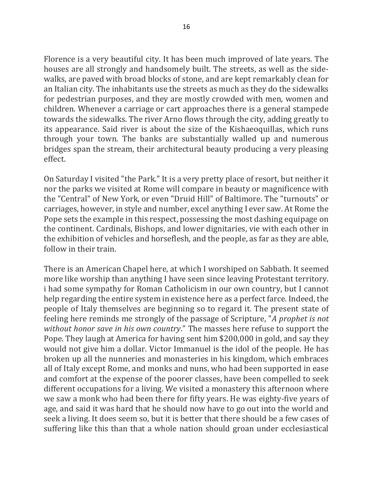Florence is a very beautiful city. It has been much improved of late years. The houses are all strongly and handsomely built. The streets, as well as the sidewalks, are paved with broad blocks of stone, and are kept remarkably clean for an Italian city. The inhabitants use the streets as much as they do the sidewalks for pedestrian purposes, and they are mostly crowded with men, women and children. Whenever a carriage or cart approaches there is a general stampede towards the sidewalks. The river Arno flows through the city, adding greatly to its appearance. Said river is about the size of the Kishaeoquillas, which runs through your town. The banks are substantially walled up and numerous bridges span the stream, their architectural beauty producing a very pleasing effect.

On Saturday I visited "the Park." It is a very pretty place of resort, but neither it nor the parks we visited at Rome will compare in beauty or magnificence with the "Central" of New York, or even "Druid Hill" of Baltimore. The "turnouts" or carriages, however, in style and number, excel anything I ever saw. At Rome the Pope sets the example in this respect, possessing the most dashing equipage on the continent. Cardinals, Bishops, and lower dignitaries, vie with each other in the exhibition of vehicles and horseflesh, and the people, as far as they are able, follow in their train.

There is an American Chapel here, at which I worshiped on Sabbath. It seemed more like worship than anything I have seen since leaving Protestant territory. i had some sympathy for Roman Catholicism in our own country, but I cannot help regarding the entire system in existence here as a perfect farce. Indeed, the people of Italy themselves are beginning so to regard it. The present state of feeling here reminds me strongly of the passage of Scripture, "*A prophet is not without honor save in his own country*." The masses here refuse to support the Pope. They laugh at America for having sent him \$200,000 in gold, and say they would not give him a dollar. Victor Immanuel is the idol of the people. He has broken up all the nunneries and monasteries in his kingdom, which embraces all of Italy except Rome, and monks and nuns, who had been supported in ease and comfort at the expense of the poorer classes, have been compelled to seek different occupations for a living. We visited a monastery this afternoon where we saw a monk who had been there for fifty years. He was eighty-five years of age, and said it was hard that he should now have to go out into the world and seek a living. It does seem so, but it is better that there should be a few cases of suffering like this than that a whole nation should groan under ecclesiastical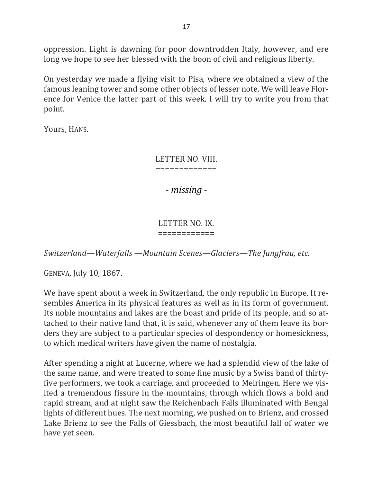oppression. Light is dawning for poor downtrodden Italy, however, and ere long we hope to see her blessed with the boon of civil and religious liberty.

On yesterday we made a flying visit to Pisa, where we obtained a view of the famous leaning tower and some other objects of lesser note. We will leave Florence for Venice the latter part of this week. I will try to write you from that point. 

Yours, HANS.

LETTER NO. VIII. =============

- *missing* -

### LETTER NO. IX. ============

*Switzerland—Waterfalls* —Mountain *Scenes—Glaciers—The Jungfrau, etc.* 

GENEVA, July 10, 1867.

We have spent about a week in Switzerland, the only republic in Europe. It resembles America in its physical features as well as in its form of government. Its noble mountains and lakes are the boast and pride of its people, and so attached to their native land that, it is said, whenever any of them leave its borders they are subject to a particular species of despondency or homesickness, to which medical writers have given the name of nostalgia.

After spending a night at Lucerne, where we had a splendid view of the lake of the same name, and were treated to some fine music by a Swiss band of thirtyfive performers, we took a carriage, and proceeded to Meiringen. Here we visited a tremendous fissure in the mountains, through which flows a bold and rapid stream, and at night saw the Reichenbach Falls illuminated with Bengal lights of different hues. The next morning, we pushed on to Brienz, and crossed Lake Brienz to see the Falls of Giessbach, the most beautiful fall of water we have yet seen.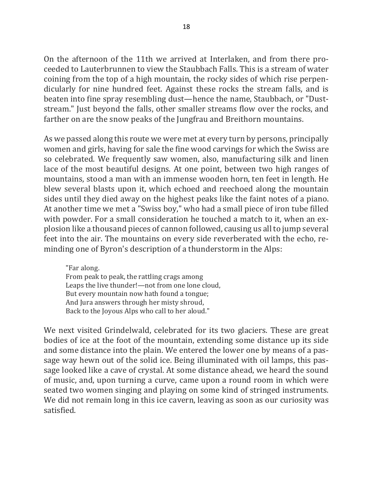On the afternoon of the 11th we arrived at Interlaken, and from there proceeded to Lauterbrunnen to view the Staubbach Falls. This is a stream of water coining from the top of a high mountain, the rocky sides of which rise perpendicularly for nine hundred feet. Against these rocks the stream falls, and is beaten into fine spray resembling dust—hence the name, Staubbach, or "Duststream." Just beyond the falls, other smaller streams flow over the rocks, and farther on are the snow peaks of the Jungfrau and Breithorn mountains.

As we passed along this route we were met at every turn by persons, principally women and girls, having for sale the fine wood carvings for which the Swiss are so celebrated. We frequently saw women, also, manufacturing silk and linen lace of the most beautiful designs. At one point, between two high ranges of mountains, stood a man with an immense wooden horn, ten feet in length. He blew several blasts upon it, which echoed and reechoed along the mountain sides until they died away on the highest peaks like the faint notes of a piano. At another time we met a "Swiss boy," who had a small piece of iron tube filled with powder. For a small consideration he touched a match to it, when an explosion like a thousand pieces of cannon followed, causing us all to jump several feet into the air. The mountains on every side reverberated with the echo, reminding one of Byron's description of a thunderstorm in the Alps:

"Far along. From peak to peak, the rattling crags among Leaps the live thunder!—not from one lone cloud, But every mountain now hath found a tongue; And Jura answers through her misty shroud, Back to the Joyous Alps who call to her aloud."

We next visited Grindelwald, celebrated for its two glaciers. These are great bodies of ice at the foot of the mountain, extending some distance up its side and some distance into the plain. We entered the lower one by means of a passage way hewn out of the solid ice. Being illuminated with oil lamps, this passage looked like a cave of crystal. At some distance ahead, we heard the sound of music, and, upon turning a curve, came upon a round room in which were seated two women singing and playing on some kind of stringed instruments. We did not remain long in this ice cavern, leaving as soon as our curiosity was satisfied.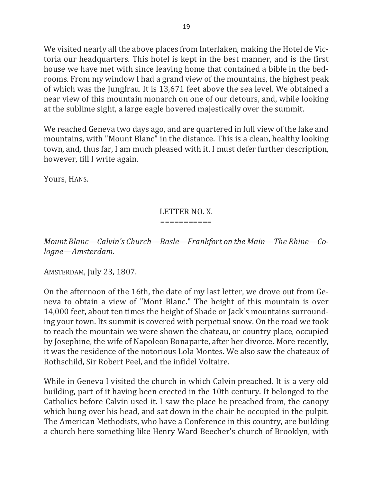We visited nearly all the above places from Interlaken, making the Hotel de Victoria our headquarters. This hotel is kept in the best manner, and is the first house we have met with since leaving home that contained a bible in the bedrooms. From my window I had a grand view of the mountains, the highest peak of which was the Jungfrau. It is 13,671 feet above the sea level. We obtained a near view of this mountain monarch on one of our detours, and, while looking at the sublime sight, a large eagle hovered majestically over the summit.

We reached Geneva two days ago, and are quartered in full view of the lake and mountains, with "Mount Blanc" in the distance. This is a clean, healthy looking town, and, thus far, I am much pleased with it. I must defer further description, however, till I write again.

Yours, HANS.

#### LETTER NO. X. ===========

*Mount Blanc—Calvin's Church—Basle—Frankfort on the Main—The Rhine—Cologne—Amsterdam.*

AMSTERDAM, July 23, 1807.

On the afternoon of the 16th, the date of my last letter, we drove out from Geneva to obtain a view of "Mont Blanc." The height of this mountain is over 14,000 feet, about ten times the height of Shade or Jack's mountains surrounding your town. Its summit is covered with perpetual snow. On the road we took to reach the mountain we were shown the chateau, or country place, occupied by Josephine, the wife of Napoleon Bonaparte, after her divorce. More recently, it was the residence of the notorious Lola Montes. We also saw the chateaux of Rothschild, Sir Robert Peel, and the infidel Voltaire.

While in Geneva I visited the church in which Calvin preached. It is a very old building, part of it having been erected in the 10th century. It belonged to the Catholics before Calvin used it. I saw the place he preached from, the canopy which hung over his head, and sat down in the chair he occupied in the pulpit. The American Methodists, who have a Conference in this country, are building a church here something like Henry Ward Beecher's church of Brooklyn, with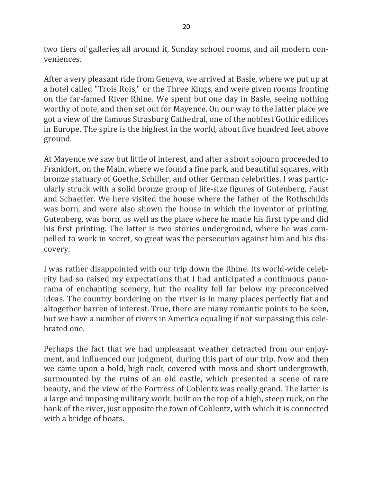two tiers of galleries all around it, Sunday school rooms, and ail modern conveniences.

After a very pleasant ride from Geneva, we arrived at Basle, where we put up at a hotel called "Trois Rois," or the Three Kings, and were given rooms fronting on the far-famed River Rhine. We spent but one day in Basle, seeing nothing worthy of note, and then set out for Mayence. On our way to the latter place we got a view of the famous Strasburg Cathedral, one of the noblest Gothic edifices in Europe. The spire is the highest in the world, about five hundred feet above ground.

At Mayence we saw but little of interest, and after a short sojourn proceeded to Frankfort, on the Main, where we found a fine park, and beautiful squares, with bronze statuary of Goethe, Schiller, and other German celebrities. I was particularly struck with a solid bronze group of life-size figures of Gutenberg, Faust and Schaeffer. We here visited the house where the father of the Rothschilds was born, and were also shown the house in which the inventor of printing, Gutenberg, was born, as well as the place where he made his first type and did his first printing. The latter is two stories underground, where he was compelled to work in secret, so great was the persecution against him and his discovery.

I was rather disappointed with our trip down the Rhine. Its world-wide celebrity had so raised my expectations that I had anticipated a continuous panorama of enchanting scenery, hut the reality fell far below my preconceived ideas. The country bordering on the river is in many places perfectly fiat and altogether barren of interest. True, there are many romantic points to be seen, but we have a number of rivers in America equaling if not surpassing this celebrated one.

Perhaps the fact that we had unpleasant weather detracted from our enjoyment, and influenced our judgment, during this part of our trip. Now and then we came upon a bold, high rock, covered with moss and short undergrowth, surmounted by the ruins of an old castle, which presented a scene of rare beauty, and the view of the Fortress of Coblentz was really grand. The latter is a large and imposing military work, built on the top of a high, steep ruck, on the bank of the river, just opposite the town of Coblentz, with which it is connected with a bridge of boats.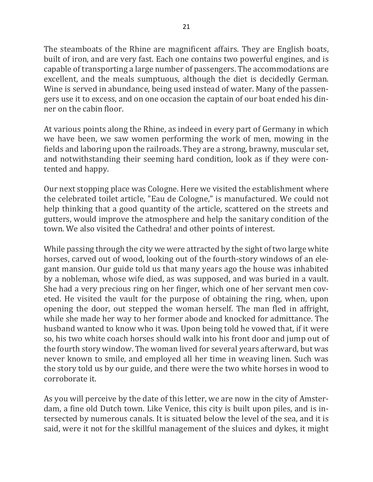The steamboats of the Rhine are magnificent affairs. They are English boats, built of iron, and are very fast. Each one contains two powerful engines, and is capable of transporting a large number of passengers. The accommodations are excellent, and the meals sumptuous, although the diet is decidedly German. Wine is served in abundance, being used instead of water. Many of the passengers use it to excess, and on one occasion the captain of our boat ended his dinner on the cabin floor.

At various points along the Rhine, as indeed in every part of Germany in which we have been, we saw women performing the work of men, mowing in the fields and laboring upon the railroads. They are a strong, brawny, muscular set, and notwithstanding their seeming hard condition, look as if they were contented and happy.

Our next stopping place was Cologne. Here we visited the establishment where the celebrated toilet article, "Eau de Cologne," is manufactured. We could not help thinking that a good quantity of the article, scattered on the streets and gutters, would improve the atmosphere and help the sanitary condition of the town. We also visited the Cathedra! and other points of interest.

While passing through the city we were attracted by the sight of two large white horses, carved out of wood, looking out of the fourth-story windows of an elegant mansion. Our guide told us that many years ago the house was inhabited by a nobleman, whose wife died, as was supposed, and was buried in a vault. She had a very precious ring on her finger, which one of her servant men coveted. He visited the vault for the purpose of obtaining the ring, when, upon opening the door, out stepped the woman herself. The man fled in affright, while she made her way to her former abode and knocked for admittance. The husband wanted to know who it was. Upon being told he vowed that, if it were so, his two white coach horses should walk into his front door and jump out of the fourth story window. The woman lived for several years afterward, but was never known to smile, and employed all her time in weaving linen. Such was the story told us by our guide, and there were the two white horses in wood to corroborate it.

As you will perceive by the date of this letter, we are now in the city of Amsterdam, a fine old Dutch town. Like Venice, this city is built upon piles, and is intersected by numerous canals. It is situated below the level of the sea, and it is said, were it not for the skillful management of the sluices and dykes, it might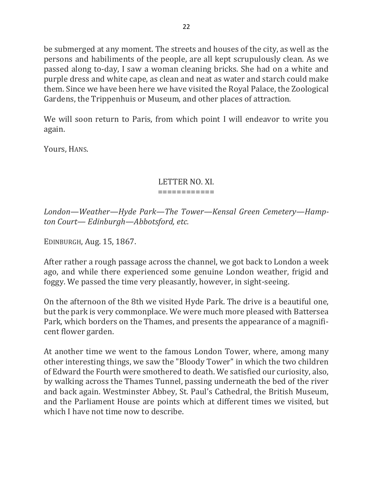be submerged at any moment. The streets and houses of the city, as well as the persons and habiliments of the people, are all kept scrupulously clean. As we passed along to-day, I saw a woman cleaning bricks. She had on a white and purple dress and white cape, as clean and neat as water and starch could make them. Since we have been here we have visited the Royal Palace, the Zoological Gardens, the Trippenhuis or Museum, and other places of attraction.

We will soon return to Paris, from which point I will endeavor to write you again. 

Yours, HANS.

## LETTER NO. XI.

### ============

London—Weather—Hyde Park—The Tower—Kensal Green Cemetery—Hamp*ton Court— Edinburgh—Abbotsford, etc.*

EDINBURGH, Aug. 15, 1867.

After rather a rough passage across the channel, we got back to London a week ago, and while there experienced some genuine London weather, frigid and foggy. We passed the time very pleasantly, however, in sight-seeing.

On the afternoon of the 8th we visited Hyde Park. The drive is a beautiful one, but the park is very commonplace. We were much more pleased with Battersea Park, which borders on the Thames, and presents the appearance of a magnificent flower garden.

At another time we went to the famous London Tower, where, among many other interesting things, we saw the "Bloody Tower" in which the two children of Edward the Fourth were smothered to death. We satisfied our curiosity, also, by walking across the Thames Tunnel, passing underneath the bed of the river and back again. Westminster Abbey, St. Paul's Cathedral, the British Museum, and the Parliament House are points which at different times we visited, but which I have not time now to describe.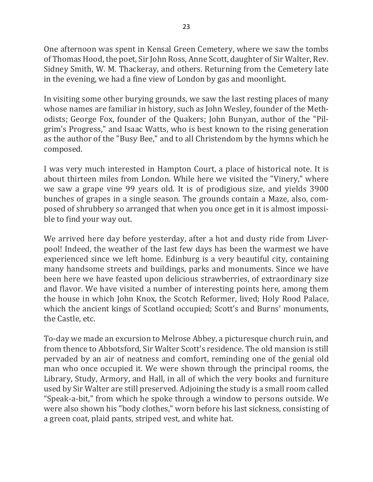One afternoon was spent in Kensal Green Cemetery, where we saw the tombs of Thomas Hood, the poet, Sir John Ross, Anne Scott, daughter of Sir Walter, Rev. Sidney Smith, W. M. Thackeray, and others. Returning from the Cemetery late in the evening, we had a fine view of London by gas and moonlight.

In visiting some other burying grounds, we saw the last resting places of many whose names are familiar in history, such as John Wesley, founder of the Methodists; George Fox, founder of the Quakers; John Bunyan, author of the "Pilgrim's Progress," and Isaac Watts, who is best known to the rising generation as the author of the "Busy Bee," and to all Christendom by the hymns which he composed.

I was very much interested in Hampton Court, a place of historical note. It is about thirteen miles from London. While here we visited the "Vinery," where we saw a grape vine 99 years old. It is of prodigious size, and yields 3900 bunches of grapes in a single season. The grounds contain a Maze, also, composed of shrubbery so arranged that when you once get in it is almost impossible to find your way out.

We arrived here day before yesterday, after a hot and dusty ride from Liverpool! Indeed, the weather of the last few days has been the warmest we have experienced since we left home. Edinburg is a very beautiful city, containing many handsome streets and buildings, parks and monuments. Since we have been here we have feasted upon delicious strawberries, of extraordinary size and flavor. We have visited a number of interesting points here, among them the house in which John Knox, the Scotch Reformer, lived; Holy Rood Palace, which the ancient kings of Scotland occupied; Scott's and Burns' monuments, the Castle, etc.

To-day we made an excursion to Melrose Abbey, a picturesque church ruin, and from thence to Abbotsford, Sir Walter Scott's residence. The old mansion is still pervaded by an air of neatness and comfort, reminding one of the genial old man who once occupied it. We were shown through the principal rooms, the Library, Study, Armory, and Hall, in all of which the very books and furniture used by Sir Walter are still preserved. Adjoining the study is a small room called "Speak-a-bit," from which he spoke through a window to persons outside. We were also shown his "body clothes," worn before his last sickness, consisting of a green coat, plaid pants, striped vest, and white hat.